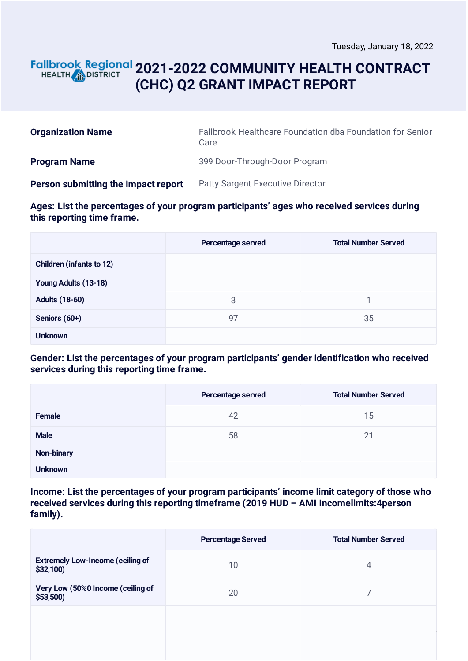### **2021-2022 COMMUNITY HEALTH CONTRACT** HEALTH **AND DISTRICT (CHC) Q2 GRANT IMPACT REPORT**

| <b>Organization Name</b>            | Fallbrook Healthcare Foundation dba Foundation for Senior<br>Care |
|-------------------------------------|-------------------------------------------------------------------|
| <b>Program Name</b>                 | 399 Door-Through-Door Program                                     |
| Person submitting the impact report | <b>Patty Sargent Executive Director</b>                           |

### **Ages: List the percentages of your program participants' ages who received services during this reporting time frame.**

|                                 | Percentage served | <b>Total Number Served</b> |
|---------------------------------|-------------------|----------------------------|
| <b>Children (infants to 12)</b> |                   |                            |
| Young Adults (13-18)            |                   |                            |
| <b>Adults (18-60)</b>           | 3                 |                            |
| Seniors (60+)                   | 97                | 35                         |
| <b>Unknown</b>                  |                   |                            |

### **Gender: List the percentages of your program participants' gender identification who received services during this reporting time frame.**

|                | Percentage served | <b>Total Number Served</b> |
|----------------|-------------------|----------------------------|
| Female         | 42                | 15                         |
| <b>Male</b>    | 58                | 21                         |
| Non-binary     |                   |                            |
| <b>Unknown</b> |                   |                            |

**Income: List the percentages of your program participants' income limit category of those who received services during this reporting timeframe (2019 HUD – AMI Incomelimits:4person family).**

|                                                      | <b>Percentage Served</b> | <b>Total Number Served</b> |
|------------------------------------------------------|--------------------------|----------------------------|
| <b>Extremely Low-Income (ceiling of</b><br>\$32,100) | 10                       | 4                          |
| Very Low (50%0 Income (ceiling of<br>$$53,500$ )     | 20                       |                            |
|                                                      |                          |                            |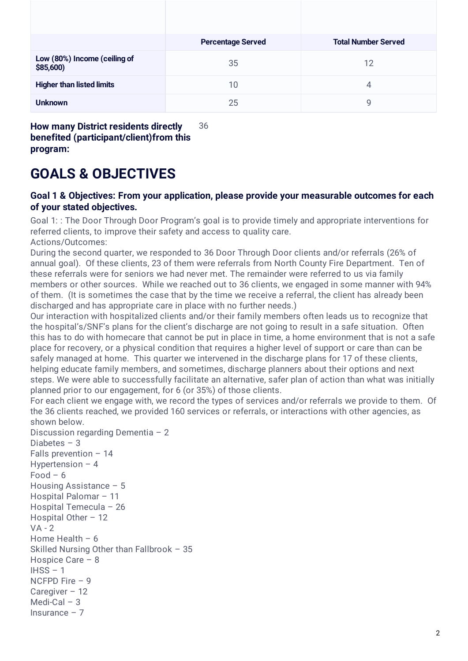|                                           | <b>Percentage Served</b> | <b>Total Number Served</b> |
|-------------------------------------------|--------------------------|----------------------------|
| Low (80%) Income (ceiling of<br>\$85,600) | 35                       | 12                         |
| <b>Higher than listed limits</b>          | 10                       | 4                          |
| <b>Unknown</b>                            | 25                       | 9                          |

**How many District residents directly benefited (participant/client)from this program:** 36

### **GOALS & OBJECTIVES**

### **Goal 1 & Objectives: From your application, please provide your measurable outcomes for each of your stated objectives.**

Goal 1: : The Door Through Door Program's goal is to provide timely and appropriate interventions for referred clients, to improve their safety and access to quality care.

Actions/Outcomes:

During the second quarter, we responded to 36 Door Through Door clients and/or referrals (26% of annual goal). Of these clients, 23 of them were referrals from North County Fire Department. Ten of these referrals were for seniors we had never met. The remainder were referred to us via family members or other sources. While we reached out to 36 clients, we engaged in some manner with 94% of them. (It is sometimes the case that by the time we receive a referral, the client has already been discharged and has appropriate care in place with no further needs.)

Our interaction with hospitalized clients and/or their family members often leads us to recognize that the hospital's/SNF's plans for the client's discharge are not going to result in a safe situation. Often this has to do with homecare that cannot be put in place in time, a home environment that is not a safe place for recovery, or a physical condition that requires a higher level of support or care than can be safely managed at home. This quarter we intervened in the discharge plans for 17 of these clients, helping educate family members, and sometimes, discharge planners about their options and next steps. We were able to successfully facilitate an alternative, safer plan of action than what was initially planned prior to our engagement, for 6 (or 35%) of those clients.

For each client we engage with, we record the types of services and/or referrals we provide to them. Of the 36 clients reached, we provided 160 services or referrals, or interactions with other agencies, as shown below.

Discussion regarding Dementia - 2 Diabetes – 3 Falls prevention – 14 Hypertension – 4  $Food - 6$ Housing Assistance – 5 Hospital Palomar – 11 Hospital Temecula – 26 Hospital Other – 12  $VA - 2$ Home Health – 6 Skilled Nursing Other than Fallbrook – 35 Hospice Care – 8  $IHSS - 1$ NCFPD Fire – 9 Caregiver – 12 Medi-Cal – 3 Insurance – 7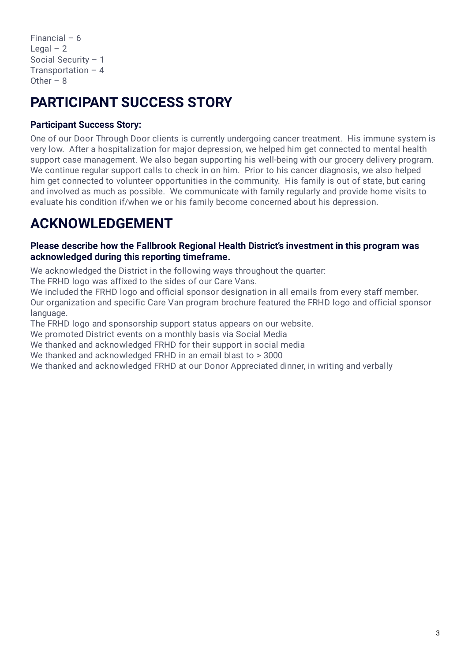Financial – 6 Legal  $-2$ Social Security – 1 Transportation – 4 Other  $-8$ 

# **PARTICIPANT SUCCESS STORY**

### **Participant Success Story:**

One of our Door Through Door clients is currently undergoing cancer treatment. His immune system is very low. After a hospitalization for major depression, we helped him get connected to mental health support case management. We also began supporting his well-being with our grocery delivery program. We continue regular support calls to check in on him. Prior to his cancer diagnosis, we also helped him get connected to volunteer opportunities in the community. His family is out of state, but caring and involved as much as possible. We communicate with family regularly and provide home visits to evaluate his condition if/when we or his family become concerned about his depression.

# **ACKNOWLEDGEMENT**

### **Please describe how the Fallbrook Regional Health District's investment in this program was acknowledged during this reporting timeframe.**

We acknowledged the District in the following ways throughout the quarter:

The FRHD logo was affixed to the sides of our Care Vans.

We included the FRHD logo and official sponsor designation in all emails from every staff member. Our organization and specific Care Van program brochure featured the FRHD logo and official sponsor language.

The FRHD logo and sponsorship support status appears on our website.

We promoted District events on a monthly basis via Social Media

We thanked and acknowledged FRHD for their support in social media

We thanked and acknowledged FRHD in an email blast to > 3000

We thanked and acknowledged FRHD at our Donor Appreciated dinner, in writing and verbally